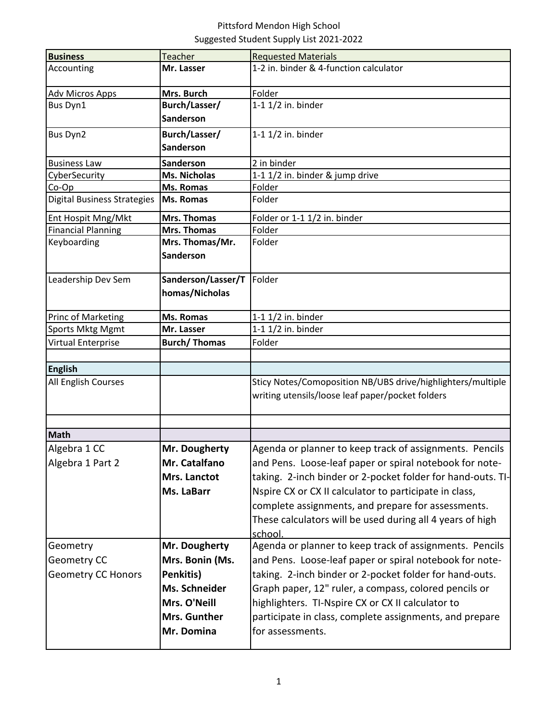## Pittsford Mendon High School Suggested Student Supply List 2021-2022

| <b>Business</b>                    | <b>Teacher</b>      | <b>Requested Materials</b>                                  |
|------------------------------------|---------------------|-------------------------------------------------------------|
| Accounting                         | Mr. Lasser          | 1-2 in. binder & 4-function calculator                      |
| Adv Micros Apps                    | Mrs. Burch          | Folder                                                      |
| <b>Bus Dyn1</b>                    | Burch/Lasser/       | 1-1 1/2 in. binder                                          |
|                                    | Sanderson           |                                                             |
| Bus Dyn2                           | Burch/Lasser/       | 1-1 1/2 in. binder                                          |
|                                    | Sanderson           |                                                             |
| <b>Business Law</b>                | <b>Sanderson</b>    | 2 in binder                                                 |
| CyberSecurity                      | <b>Ms. Nicholas</b> | 1-1 1/2 in. binder & jump drive                             |
| Co-Op                              | Ms. Romas           | Folder                                                      |
| <b>Digital Business Strategies</b> | <b>Ms. Romas</b>    | Folder                                                      |
| Ent Hospit Mng/Mkt                 | Mrs. Thomas         | Folder or 1-1 1/2 in. binder                                |
| <b>Financial Planning</b>          | <b>Mrs. Thomas</b>  | Folder                                                      |
| Keyboarding                        | Mrs. Thomas/Mr.     | Folder                                                      |
|                                    | Sanderson           |                                                             |
| Leadership Dev Sem                 | Sanderson/Lasser/T  | Folder                                                      |
|                                    | homas/Nicholas      |                                                             |
|                                    |                     |                                                             |
| Princ of Marketing                 | Ms. Romas           | 1-1 1/2 in. binder                                          |
| <b>Sports Mktg Mgmt</b>            | Mr. Lasser          | 1-1 1/2 in. binder                                          |
| Virtual Enterprise                 | <b>Burch/Thomas</b> | Folder                                                      |
|                                    |                     |                                                             |
| <b>English</b>                     |                     |                                                             |
|                                    |                     |                                                             |
| All English Courses                |                     | Sticy Notes/Comoposition NB/UBS drive/highlighters/multiple |
|                                    |                     | writing utensils/loose leaf paper/pocket folders            |
|                                    |                     |                                                             |
|                                    |                     |                                                             |
| <b>Math</b>                        |                     |                                                             |
| Algebra 1 CC                       | Mr. Dougherty       | Agenda or planner to keep track of assignments. Pencils     |
| Algebra 1 Part 2                   | Mr. Catalfano       | and Pens. Loose-leaf paper or spiral notebook for note-     |
|                                    | Mrs. Lanctot        | taking. 2-inch binder or 2-pocket folder for hand-outs. TI- |
|                                    | Ms. LaBarr          | Nspire CX or CX II calculator to participate in class,      |
|                                    |                     | complete assignments, and prepare for assessments.          |
|                                    |                     |                                                             |
|                                    |                     | These calculators will be used during all 4 years of high   |
|                                    |                     | school.                                                     |
| Geometry                           | Mr. Dougherty       | Agenda or planner to keep track of assignments. Pencils     |
| Geometry CC                        | Mrs. Bonin (Ms.     | and Pens. Loose-leaf paper or spiral notebook for note-     |
| <b>Geometry CC Honors</b>          | Penkitis)           | taking. 2-inch binder or 2-pocket folder for hand-outs.     |
|                                    | Ms. Schneider       | Graph paper, 12" ruler, a compass, colored pencils or       |
|                                    | Mrs. O'Neill        | highlighters. TI-Nspire CX or CX II calculator to           |
|                                    |                     |                                                             |
|                                    | Mrs. Gunther        | participate in class, complete assignments, and prepare     |
|                                    | Mr. Domina          | for assessments.                                            |
|                                    |                     |                                                             |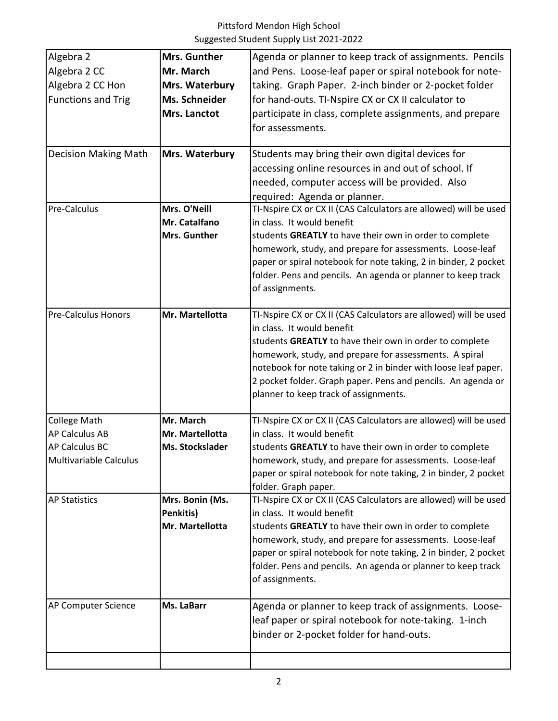| Algebra 2                     | Mrs. Gunther    | Agenda or planner to keep track of assignments. Pencils          |
|-------------------------------|-----------------|------------------------------------------------------------------|
| Algebra 2 CC                  | Mr. March       | and Pens. Loose-leaf paper or spiral notebook for note-          |
| Algebra 2 CC Hon              | Mrs. Waterbury  | taking. Graph Paper. 2-inch binder or 2-pocket folder            |
| <b>Functions and Trig</b>     | Ms. Schneider   | for hand-outs. TI-Nspire CX or CX II calculator to               |
|                               | Mrs. Lanctot    | participate in class, complete assignments, and prepare          |
|                               |                 | for assessments.                                                 |
|                               |                 |                                                                  |
| <b>Decision Making Math</b>   | Mrs. Waterbury  | Students may bring their own digital devices for                 |
|                               |                 | accessing online resources in and out of school. If              |
|                               |                 | needed, computer access will be provided. Also                   |
|                               |                 | required: Agenda or planner.                                     |
| Pre-Calculus                  | Mrs. O'Neill    | TI-Nspire CX or CX II (CAS Calculators are allowed) will be used |
|                               | Mr. Catalfano   | in class. It would benefit                                       |
|                               | Mrs. Gunther    | students GREATLY to have their own in order to complete          |
|                               |                 | homework, study, and prepare for assessments. Loose-leaf         |
|                               |                 | paper or spiral notebook for note taking, 2 in binder, 2 pocket  |
|                               |                 | folder. Pens and pencils. An agenda or planner to keep track     |
|                               |                 | of assignments.                                                  |
|                               |                 |                                                                  |
| <b>Pre-Calculus Honors</b>    | Mr. Martellotta | TI-Nspire CX or CX II (CAS Calculators are allowed) will be used |
|                               |                 | in class. It would benefit                                       |
|                               |                 | students GREATLY to have their own in order to complete          |
|                               |                 | homework, study, and prepare for assessments. A spiral           |
|                               |                 | notebook for note taking or 2 in binder with loose leaf paper.   |
|                               |                 | 2 pocket folder. Graph paper. Pens and pencils. An agenda or     |
|                               |                 | planner to keep track of assignments.                            |
|                               |                 |                                                                  |
| <b>College Math</b>           | Mr. March       | TI-Nspire CX or CX II (CAS Calculators are allowed) will be used |
| AP Calculus AB                | Mr. Martellotta | in class. It would benefit                                       |
| <b>AP Calculus BC</b>         | Ms. Stockslader | students GREATLY to have their own in order to complete          |
| <b>Multivariable Calculus</b> |                 | homework, study, and prepare for assessments. Loose-leaf         |
|                               |                 | paper or spiral notebook for note taking, 2 in binder, 2 pocket  |
|                               |                 | folder. Graph paper.                                             |
| <b>AP Statistics</b>          | Mrs. Bonin (Ms. | TI-Nspire CX or CX II (CAS Calculators are allowed) will be used |
|                               | Penkitis)       | in class. It would benefit                                       |
|                               | Mr. Martellotta | students GREATLY to have their own in order to complete          |
|                               |                 | homework, study, and prepare for assessments. Loose-leaf         |
|                               |                 | paper or spiral notebook for note taking, 2 in binder, 2 pocket  |
|                               |                 | folder. Pens and pencils. An agenda or planner to keep track     |
|                               |                 | of assignments.                                                  |
|                               |                 |                                                                  |
| AP Computer Science           | Ms. LaBarr      | Agenda or planner to keep track of assignments. Loose-           |
|                               |                 | leaf paper or spiral notebook for note-taking. 1-inch            |
|                               |                 | binder or 2-pocket folder for hand-outs.                         |
|                               |                 |                                                                  |
|                               |                 |                                                                  |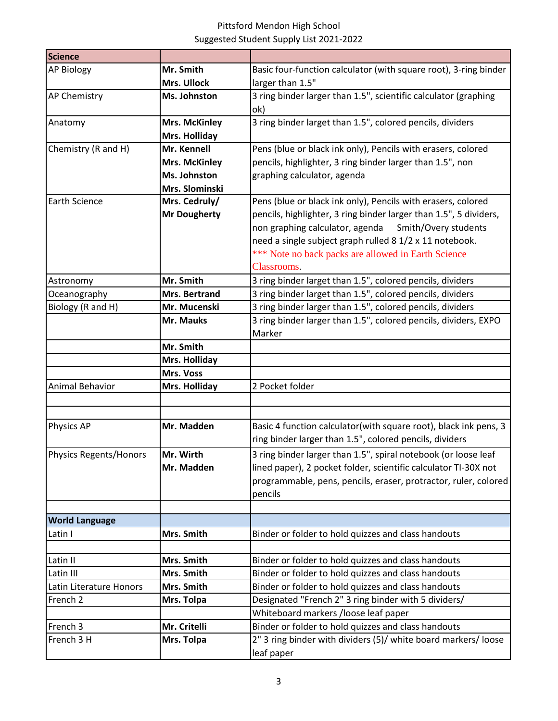## Pittsford Mendon High School Suggested Student Supply List 2021-2022

| <b>Science</b>                |                      |                                                                   |
|-------------------------------|----------------------|-------------------------------------------------------------------|
| <b>AP Biology</b>             | Mr. Smith            | Basic four-function calculator (with square root), 3-ring binder  |
|                               | Mrs. Ullock          | larger than 1.5"                                                  |
| <b>AP Chemistry</b>           | Ms. Johnston         | 3 ring binder larger than 1.5", scientific calculator (graphing   |
|                               |                      | ok)                                                               |
| Anatomy                       | <b>Mrs. McKinley</b> | 3 ring binder larget than 1.5", colored pencils, dividers         |
|                               | Mrs. Holliday        |                                                                   |
| Chemistry (R and H)           | Mr. Kennell          | Pens (blue or black ink only), Pencils with erasers, colored      |
|                               | <b>Mrs. McKinley</b> | pencils, highlighter, 3 ring binder larger than 1.5", non         |
|                               | Ms. Johnston         | graphing calculator, agenda                                       |
|                               | Mrs. Slominski       |                                                                   |
| <b>Earth Science</b>          | Mrs. Cedruly/        | Pens (blue or black ink only), Pencils with erasers, colored      |
|                               | <b>Mr Dougherty</b>  | pencils, highlighter, 3 ring binder larger than 1.5", 5 dividers, |
|                               |                      | non graphing calculator, agenda<br>Smith/Overy students           |
|                               |                      | need a single subject graph rulled 8 1/2 x 11 notebook.           |
|                               |                      | *** Note no back packs are allowed in Earth Science               |
|                               |                      | Classrooms.                                                       |
| Astronomy                     | Mr. Smith            | 3 ring binder larget than 1.5", colored pencils, dividers         |
| Oceanography                  | Mrs. Bertrand        | 3 ring binder larget than 1.5", colored pencils, dividers         |
| Biology (R and H)             | Mr. Mucenski         | 3 ring binder larger than 1.5", colored pencils, dividers         |
|                               | Mr. Mauks            | 3 ring binder larger than 1.5", colored pencils, dividers, EXPO   |
|                               |                      | Marker                                                            |
|                               | Mr. Smith            |                                                                   |
|                               | Mrs. Holliday        |                                                                   |
|                               | Mrs. Voss            |                                                                   |
| Animal Behavior               | Mrs. Holliday        | 2 Pocket folder                                                   |
|                               |                      |                                                                   |
|                               |                      |                                                                   |
| <b>Physics AP</b>             | Mr. Madden           | Basic 4 function calculator(with square root), black ink pens, 3  |
|                               |                      | ring binder larger than 1.5", colored pencils, dividers           |
| <b>Physics Regents/Honors</b> | Mr. Wirth            | 3 ring binder larger than 1.5", spiral notebook (or loose leaf    |
|                               | Mr. Madden           | lined paper), 2 pocket folder, scientific calculator TI-30X not   |
|                               |                      | programmable, pens, pencils, eraser, protractor, ruler, colored   |
|                               |                      | pencils                                                           |
|                               |                      |                                                                   |
| <b>World Language</b>         |                      |                                                                   |
| Latin I                       | Mrs. Smith           | Binder or folder to hold quizzes and class handouts               |
|                               |                      |                                                                   |
| Latin II                      | Mrs. Smith           | Binder or folder to hold quizzes and class handouts               |
| Latin III                     | Mrs. Smith           | Binder or folder to hold quizzes and class handouts               |
| Latin Literature Honors       | Mrs. Smith           | Binder or folder to hold quizzes and class handouts               |
| French <sub>2</sub>           | Mrs. Tolpa           | Designated "French 2" 3 ring binder with 5 dividers/              |
|                               |                      | Whiteboard markers / loose leaf paper                             |
| French 3                      | Mr. Critelli         | Binder or folder to hold quizzes and class handouts               |
| French 3 H                    | Mrs. Tolpa           | 2" 3 ring binder with dividers (5)/ white board markers/ loose    |
|                               |                      | leaf paper                                                        |